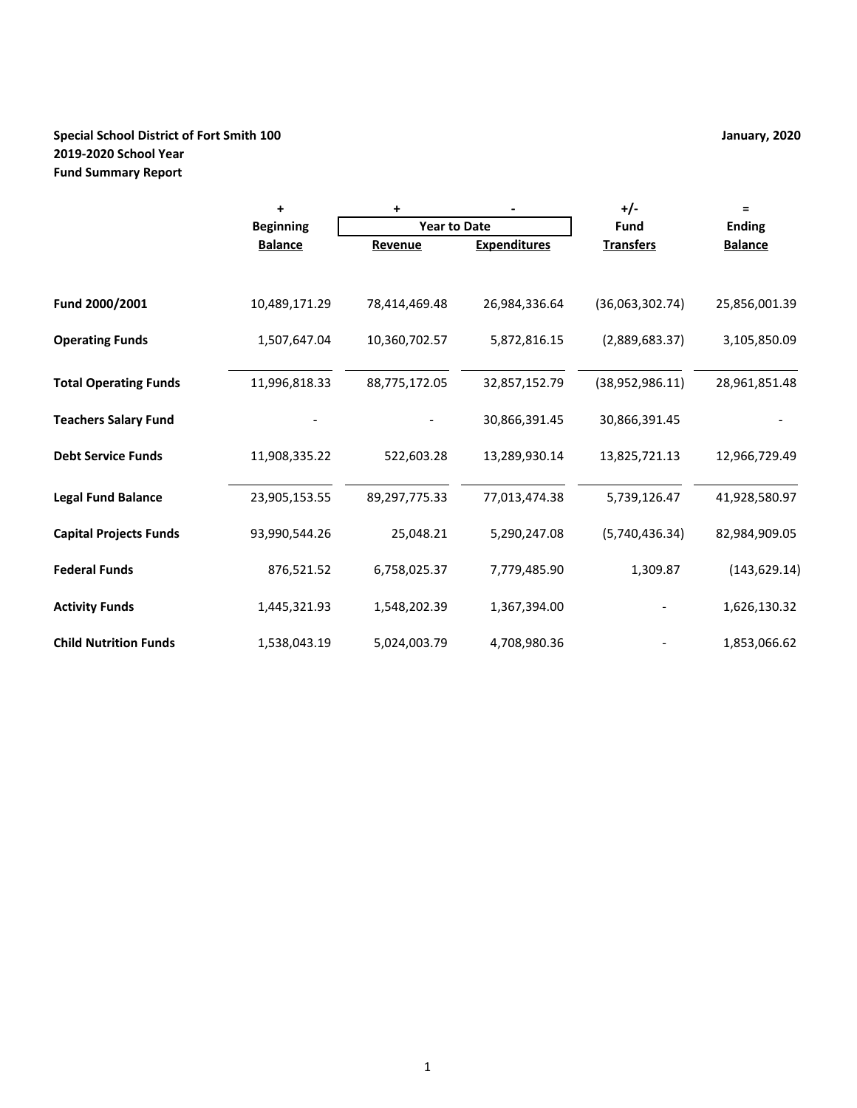# **Special School District of Fort Smith 100 January, 2020 2019-2020 School Year Fund Summary Report**

|                               | $\ddot{}$        | +                   |                     | $+/-$            | Ξ              |
|-------------------------------|------------------|---------------------|---------------------|------------------|----------------|
|                               | <b>Beginning</b> | <b>Year to Date</b> |                     | <b>Fund</b>      | <b>Ending</b>  |
|                               | <b>Balance</b>   | Revenue             | <b>Expenditures</b> | <b>Transfers</b> | <b>Balance</b> |
|                               |                  |                     |                     |                  |                |
| Fund 2000/2001                | 10,489,171.29    | 78,414,469.48       | 26,984,336.64       | (36,063,302.74)  | 25,856,001.39  |
| <b>Operating Funds</b>        | 1,507,647.04     | 10,360,702.57       | 5,872,816.15        | (2,889,683.37)   | 3,105,850.09   |
| <b>Total Operating Funds</b>  | 11,996,818.33    | 88,775,172.05       | 32,857,152.79       | (38,952,986.11)  | 28,961,851.48  |
| <b>Teachers Salary Fund</b>   |                  |                     | 30,866,391.45       | 30,866,391.45    |                |
| <b>Debt Service Funds</b>     | 11,908,335.22    | 522,603.28          | 13,289,930.14       | 13,825,721.13    | 12,966,729.49  |
| <b>Legal Fund Balance</b>     | 23,905,153.55    | 89,297,775.33       | 77,013,474.38       | 5,739,126.47     | 41,928,580.97  |
| <b>Capital Projects Funds</b> | 93,990,544.26    | 25,048.21           | 5,290,247.08        | (5,740,436.34)   | 82,984,909.05  |
| <b>Federal Funds</b>          | 876,521.52       | 6,758,025.37        | 7,779,485.90        | 1,309.87         | (143, 629.14)  |
| <b>Activity Funds</b>         | 1,445,321.93     | 1,548,202.39        | 1,367,394.00        |                  | 1,626,130.32   |
| <b>Child Nutrition Funds</b>  | 1,538,043.19     | 5,024,003.79        | 4,708,980.36        |                  | 1,853,066.62   |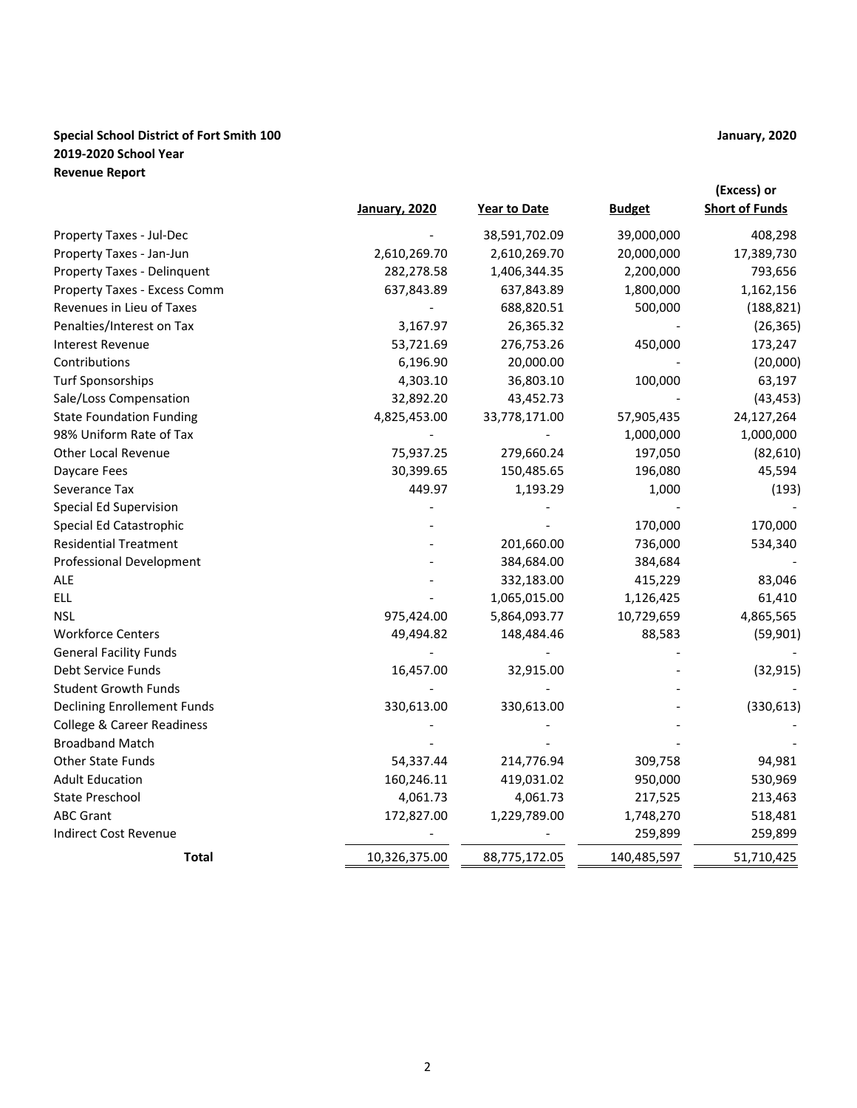# **Special School District of Fort Smith 100 January, 2020 2019-2020 School Year Revenue Report**

|                                       |                      |               |               | (Excess) or           |
|---------------------------------------|----------------------|---------------|---------------|-----------------------|
|                                       | <b>January, 2020</b> | Year to Date  | <b>Budget</b> | <b>Short of Funds</b> |
| Property Taxes - Jul-Dec              |                      | 38,591,702.09 | 39,000,000    | 408,298               |
| Property Taxes - Jan-Jun              | 2,610,269.70         | 2,610,269.70  | 20,000,000    | 17,389,730            |
| Property Taxes - Delinquent           | 282,278.58           | 1,406,344.35  | 2,200,000     | 793,656               |
| Property Taxes - Excess Comm          | 637,843.89           | 637,843.89    | 1,800,000     | 1,162,156             |
| Revenues in Lieu of Taxes             |                      | 688,820.51    | 500,000       | (188, 821)            |
| Penalties/Interest on Tax             | 3,167.97             | 26,365.32     |               | (26, 365)             |
| <b>Interest Revenue</b>               | 53,721.69            | 276,753.26    | 450,000       | 173,247               |
| Contributions                         | 6,196.90             | 20,000.00     |               | (20,000)              |
| <b>Turf Sponsorships</b>              | 4,303.10             | 36,803.10     | 100,000       | 63,197                |
| Sale/Loss Compensation                | 32,892.20            | 43,452.73     |               | (43, 453)             |
| <b>State Foundation Funding</b>       | 4,825,453.00         | 33,778,171.00 | 57,905,435    | 24,127,264            |
| 98% Uniform Rate of Tax               |                      |               | 1,000,000     | 1,000,000             |
| <b>Other Local Revenue</b>            | 75,937.25            | 279,660.24    | 197,050       | (82, 610)             |
| Daycare Fees                          | 30,399.65            | 150,485.65    | 196,080       | 45,594                |
| Severance Tax                         | 449.97               | 1,193.29      | 1,000         | (193)                 |
| Special Ed Supervision                |                      |               |               |                       |
| Special Ed Catastrophic               |                      |               | 170,000       | 170,000               |
| <b>Residential Treatment</b>          |                      | 201,660.00    | 736,000       | 534,340               |
| <b>Professional Development</b>       |                      | 384,684.00    | 384,684       |                       |
| <b>ALE</b>                            |                      | 332,183.00    | 415,229       | 83,046                |
| <b>ELL</b>                            |                      | 1,065,015.00  | 1,126,425     | 61,410                |
| <b>NSL</b>                            | 975,424.00           | 5,864,093.77  | 10,729,659    | 4,865,565             |
| <b>Workforce Centers</b>              | 49,494.82            | 148,484.46    | 88,583        | (59, 901)             |
| <b>General Facility Funds</b>         |                      |               |               |                       |
| Debt Service Funds                    | 16,457.00            | 32,915.00     |               | (32, 915)             |
| <b>Student Growth Funds</b>           |                      |               |               |                       |
| <b>Declining Enrollement Funds</b>    | 330,613.00           | 330,613.00    |               | (330, 613)            |
| <b>College &amp; Career Readiness</b> |                      |               |               |                       |
| <b>Broadband Match</b>                |                      |               |               |                       |
| Other State Funds                     | 54,337.44            | 214,776.94    | 309,758       | 94,981                |
| <b>Adult Education</b>                | 160,246.11           | 419,031.02    | 950,000       | 530,969               |
| State Preschool                       | 4,061.73             | 4,061.73      | 217,525       | 213,463               |
| <b>ABC Grant</b>                      | 172,827.00           | 1,229,789.00  | 1,748,270     | 518,481               |
| <b>Indirect Cost Revenue</b>          |                      |               | 259,899       | 259,899               |
| <b>Total</b>                          | 10,326,375.00        | 88,775,172.05 | 140,485,597   | 51,710,425            |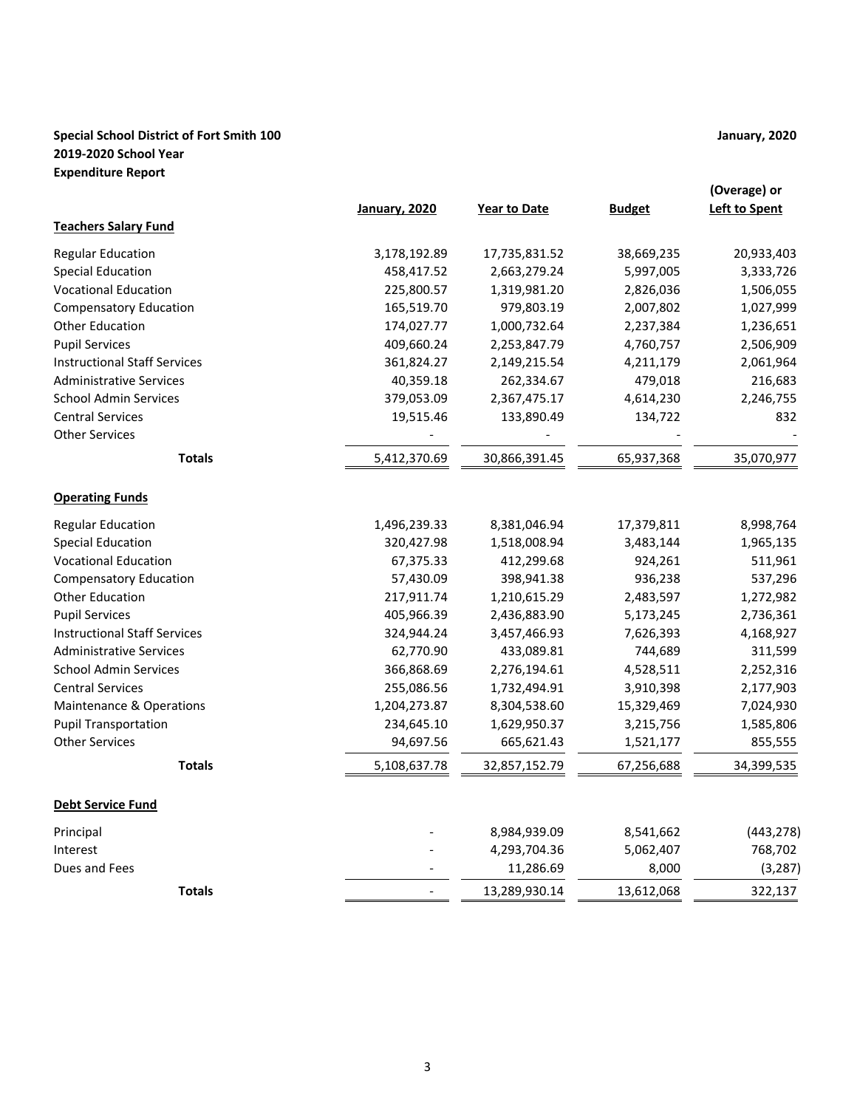# **Special School District of Fort Smith 100 January, 2020 2019-2020 School Year Expenditure Report**

|                                     | <b>January, 2020</b> | <b>Year to Date</b> | <b>Budget</b> | (Overage) or<br>Left to Spent |
|-------------------------------------|----------------------|---------------------|---------------|-------------------------------|
| <b>Teachers Salary Fund</b>         |                      |                     |               |                               |
|                                     |                      |                     |               |                               |
| <b>Regular Education</b>            | 3,178,192.89         | 17,735,831.52       | 38,669,235    | 20,933,403                    |
| <b>Special Education</b>            | 458,417.52           | 2,663,279.24        | 5,997,005     | 3,333,726                     |
| <b>Vocational Education</b>         | 225,800.57           | 1,319,981.20        | 2,826,036     | 1,506,055                     |
| <b>Compensatory Education</b>       | 165,519.70           | 979,803.19          | 2,007,802     | 1,027,999                     |
| Other Education                     | 174,027.77           | 1,000,732.64        | 2,237,384     | 1,236,651                     |
| <b>Pupil Services</b>               | 409,660.24           | 2,253,847.79        | 4,760,757     | 2,506,909                     |
| <b>Instructional Staff Services</b> | 361,824.27           | 2,149,215.54        | 4,211,179     | 2,061,964                     |
| <b>Administrative Services</b>      | 40,359.18            | 262,334.67          | 479,018       | 216,683                       |
| <b>School Admin Services</b>        | 379,053.09           | 2,367,475.17        | 4,614,230     | 2,246,755                     |
| <b>Central Services</b>             | 19,515.46            | 133,890.49          | 134,722       | 832                           |
| <b>Other Services</b>               |                      |                     |               |                               |
| <b>Totals</b>                       | 5,412,370.69         | 30,866,391.45       | 65,937,368    | 35,070,977                    |
| <b>Operating Funds</b>              |                      |                     |               |                               |
| <b>Regular Education</b>            | 1,496,239.33         | 8,381,046.94        | 17,379,811    | 8,998,764                     |
| <b>Special Education</b>            | 320,427.98           | 1,518,008.94        | 3,483,144     | 1,965,135                     |
| <b>Vocational Education</b>         | 67,375.33            | 412,299.68          | 924,261       | 511,961                       |
| <b>Compensatory Education</b>       | 57,430.09            | 398,941.38          | 936,238       | 537,296                       |
| <b>Other Education</b>              | 217,911.74           | 1,210,615.29        | 2,483,597     | 1,272,982                     |
| <b>Pupil Services</b>               | 405,966.39           | 2,436,883.90        | 5,173,245     | 2,736,361                     |
| <b>Instructional Staff Services</b> | 324,944.24           | 3,457,466.93        | 7,626,393     | 4,168,927                     |
| <b>Administrative Services</b>      | 62,770.90            | 433,089.81          | 744,689       | 311,599                       |
| <b>School Admin Services</b>        | 366,868.69           | 2,276,194.61        | 4,528,511     | 2,252,316                     |
| <b>Central Services</b>             | 255,086.56           | 1,732,494.91        | 3,910,398     | 2,177,903                     |
| <b>Maintenance &amp; Operations</b> | 1,204,273.87         | 8,304,538.60        | 15,329,469    | 7,024,930                     |
| <b>Pupil Transportation</b>         | 234,645.10           | 1,629,950.37        | 3,215,756     | 1,585,806                     |
| <b>Other Services</b>               | 94,697.56            | 665,621.43          | 1,521,177     | 855,555                       |
| <b>Totals</b>                       | 5,108,637.78         | 32,857,152.79       | 67,256,688    | 34,399,535                    |
| <b>Debt Service Fund</b>            |                      |                     |               |                               |
| Principal                           |                      | 8,984,939.09        | 8,541,662     | (443, 278)                    |
| Interest                            |                      | 4,293,704.36        | 5,062,407     | 768,702                       |
| Dues and Fees                       |                      | 11,286.69           | 8,000         | (3, 287)                      |
| <b>Totals</b>                       |                      | 13,289,930.14       | 13,612,068    | 322,137                       |
|                                     |                      |                     |               |                               |